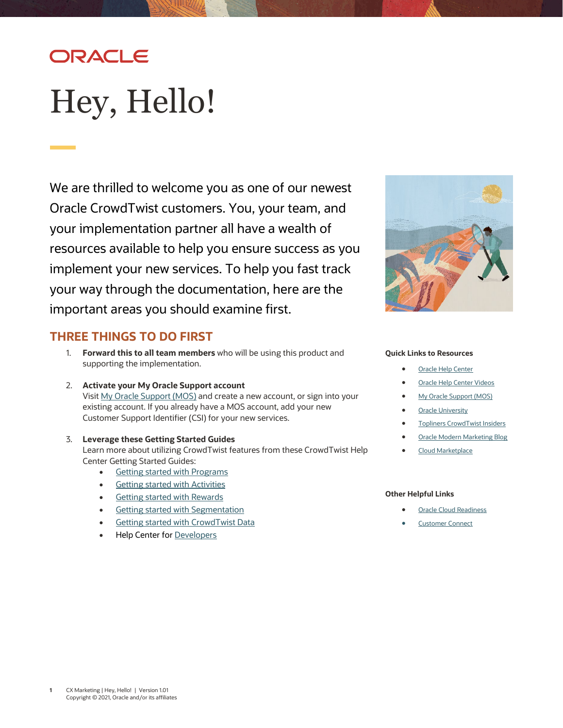# ORACLE

# <span id="page-0-0"></span>Hey, Hello!

We are thrilled to welcome you as one of our newest Oracle CrowdTwist customers. You, your team, and your implementation partner all have a wealth of resources available to help you ensure success as you implement your new services. To help you fast track your way through the documentation, here are the important areas you should examine first.



### **THREE THINGS TO DO FIRST**

- 1. **Forward this to all team members** who will be using this product and supporting the implementation.
- 2. **Activate your My Oracle Support account** Visit [My Oracle Support \(MOS\)](https://support.oracle.com/) and create a new account, or sign into your existing account. If you already have a MOS account, add your new Customer Support Identifier (CSI) for your new services.
- 3. **Leverage these Getting Started Guides** Learn more about utilizing CrowdTwist features from these CrowdTwist Help Center Getting Started Guides:
	- [Getting started with Programs](https://docs.oracle.com/en/cloud/saas/marketing/crowdtwist-user/Help/GettingStarted/GettingStarted_Programs.htm)
	- **[Getting started with Activities](https://docs.oracle.com/en/cloud/saas/marketing/crowdtwist-user/Help/GettingStarted/GettingStarted_Activities.htm)**
	- [Getting started with Rewards](https://docs.oracle.com/en/cloud/saas/marketing/crowdtwist-user/Help/GettingStarted/GettingStarted_Rewards.htm)
	- [Getting started with Segmentation](https://docs.oracle.com/en/cloud/saas/marketing/crowdtwist-user/Help/GettingStarted/GettingStarted_Segmentation.htm)
	- [Getting started with CrowdTwist Data](https://docs.oracle.com/en/cloud/saas/marketing/crowdtwist-user/Help/GettingStarted/GettingStarted_Data.htm)
	- **Help Center for [Developers](https://docs.oracle.com/en/cloud/saas/marketing/crowdtwist-develop/index.htm)**

#### **Quick Links to Resources**

- **[Oracle Help Center](https://docs.oracle.com/en/cloud/saas/marketing/crowdtwist-user/index.htm)**
- [Oracle Help Center Videos](https://www.youtube.com/channel/UCZwotmMjrpd4I8DUaS5TVGA)
- **[My Oracle Support \(MOS\)](https://support.oracle.com/)**
- **[Oracle University](https://learn.oracle.com/ols/home/37002#filtersGroup1=&filtersGroup2=&filtersGroup3=&filtersGroup4=&filtersGroup5=&filtersGroup6=&filtersGroup7=&filtersSearch=)**
- [Topliners CrowdTwist Insiders](https://community.oracle.com/topliners/group/5904-crowdtwist-insiders)
- [Oracle Modern Marketing Blog](https://blogs.oracle.com/marketingcloud/)
- [Cloud Marketplace](https://cloudmarketplace.oracle.com/marketplace/product/marketing)

#### **Other Helpful Links**

- **[Oracle Cloud Readiness](https://www.oracle.com/webfolder/technetwork/tutorials/tutorial/readiness/offering.html?offering=marketing-crowdtwist-20)**
- **[Customer Connect](https://community.oracle.com/customerconnect/)**